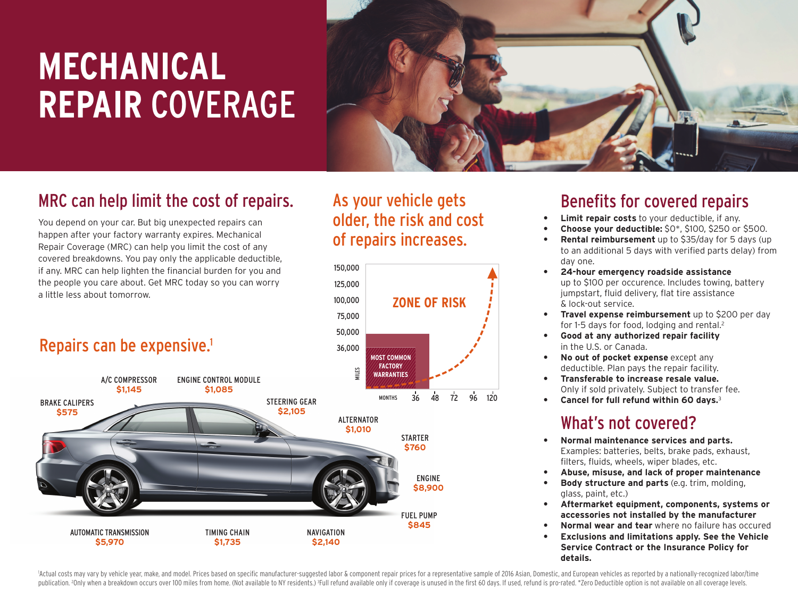# **MECHANICAL REPAIR** COVERAGE



## MRC can help limit the cost of repairs.

You depend on your car. But big unexpected repairs can happen after your factory warranty expires. Mechanical Repair Coverage (MRC) can help you limit the cost of any covered breakdowns. You pay only the applicable deductible, if any. MRC can help lighten the financial burden for you and the people you care about. Get MRC today so you can worry a little less about tomorrow.

## Repairs can be expensive.<sup>1</sup>



## Benefits for covered repairs

- **Limit repair costs** to your deductible, if any.
- **Choose your deductible:** \$0\*, \$100, \$250 or \$500.
- **Rental reimbursement** up to \$35/day for 5 days (up to an additional 5 days with verified parts delay) from day one.
- **24-hour emergency roadside assistance** up to \$100 per occurence. Includes towing, battery jumpstart, fluid delivery, flat tire assistance & lock-out service.
- **Travel expense reimbursement** up to \$200 per day for 1-5 days for food, lodging and rental.<sup>2</sup>
- **Good at any authorized repair facility** in the U.S. or Canada.
- **No out of pocket expense** except any deductible. Plan pays the repair facility.
- **Transferable to increase resale value.** Only if sold privately. Subject to transfer fee.
- **Cancel for full refund within 60 days.**<sup>3</sup>

## What's not covered?

- **Normal maintenance services and parts.** Examples: batteries, belts, brake pads, exhaust, filters, fluids, wheels, wiper blades, etc.
- **Abuse, misuse, and lack of proper maintenance**
- **Body structure and parts** (e.g. trim, molding, glass, paint, etc.)
- **Aftermarket equipment, components, systems or accessories not installed by the manufacturer**
- **Normal wear and tear** where no failure has occured
- **Exclusions and limitations apply. See the Vehicle Service Contract or the Insurance Policy for details.**

Actual costs may vary by vehicle year, make, and model. Prices based on specific manufacturer-suggested labor & component repair prices for a representative sample of 2016 Asian, Domestic, and European vehicles as reported publication. <sup>2</sup>Only when a breakdown occurs over 100 miles from home. (Not available to NY residents.) <sup>3</sup>Full refund available only if coverage is unused in the first 60 days. If used, refund is pro-rated. \*Zero Deductib

As your vehicle gets

of repairs increases.

150,000

125,000

100,000

75,000

50,000

older, the risk and cost

**ZONE OF RISK**